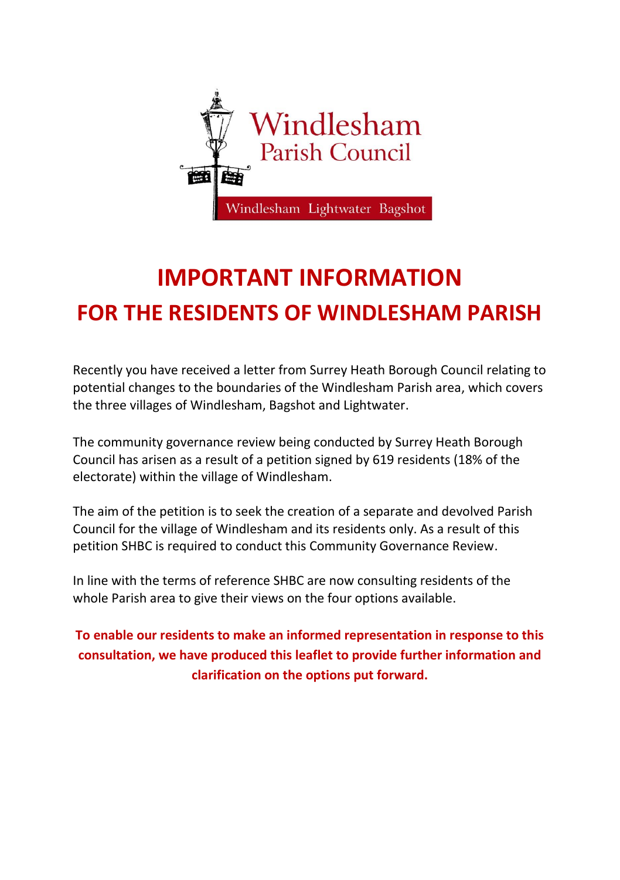

# **IMPORTANT INFORMATION FOR THE RESIDENTS OF WINDLESHAM PARISH**

Recently you have received a letter from Surrey Heath Borough Council relating to potential changes to the boundaries of the Windlesham Parish area, which covers the three villages of Windlesham, Bagshot and Lightwater.

The community governance review being conducted by Surrey Heath Borough Council has arisen as a result of a petition signed by 619 residents (18% of the electorate) within the village of Windlesham.

The aim of the petition is to seek the creation of a separate and devolved Parish Council for the village of Windlesham and its residents only. As a result of this petition SHBC is required to conduct this Community Governance Review.

In line with the terms of reference SHBC are now consulting residents of the whole Parish area to give their views on the four options available.

**To enable our residents to make an informed representation in response to this consultation, we have produced this leaflet to provide further information and clarification on the options put forward.**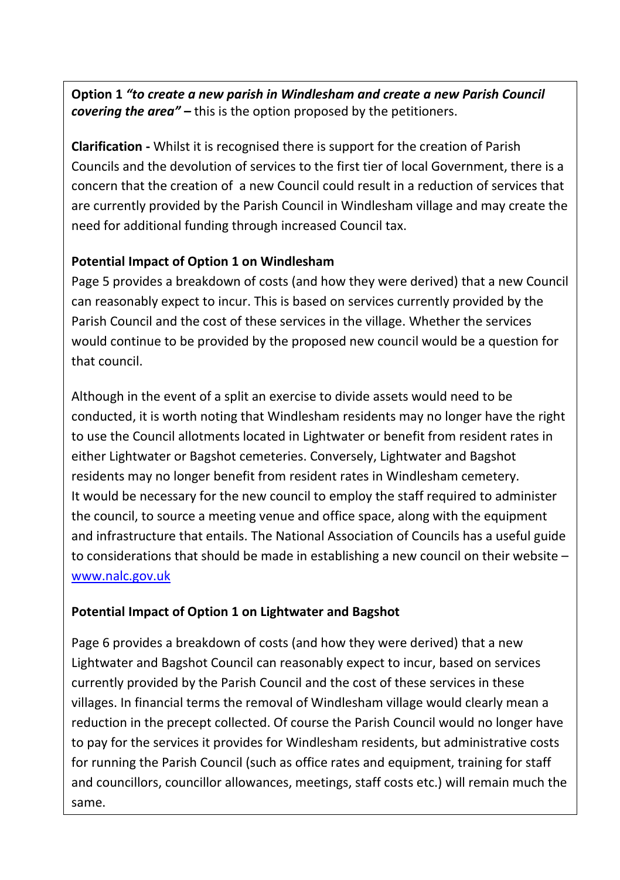**Option 1** *"to create a new parish in Windlesham and create a new Parish Council covering the area" –* this is the option proposed by the petitioners.

**Clarification -** Whilst it is recognised there is support for the creation of Parish Councils and the devolution of services to the first tier of local Government, there is a concern that the creation of a new Council could result in a reduction of services that are currently provided by the Parish Council in Windlesham village and may create the need for additional funding through increased Council tax.

#### **Potential Impact of Option 1 on Windlesham**

Page 5 provides a breakdown of costs (and how they were derived) that a new Council can reasonably expect to incur. This is based on services currently provided by the Parish Council and the cost of these services in the village. Whether the services would continue to be provided by the proposed new council would be a question for that council.

Although in the event of a split an exercise to divide assets would need to be conducted, it is worth noting that Windlesham residents may no longer have the right to use the Council allotments located in Lightwater or benefit from resident rates in either Lightwater or Bagshot cemeteries. Conversely, Lightwater and Bagshot residents may no longer benefit from resident rates in Windlesham cemetery. It would be necessary for the new council to employ the staff required to administer the council, to source a meeting venue and office space, along with the equipment and infrastructure that entails. The National Association of Councils has a useful guide to considerations that should be made in establishing a new council on their website – [www.nalc.gov.uk](http://www.nalc.gov.uk/)

#### **Potential Impact of Option 1 on Lightwater and Bagshot**

and councillors, councillor allowances, meetings, staff costs etc.) will remain much the Page 6 provides a breakdown of costs (and how they were derived) that a new Lightwater and Bagshot Council can reasonably expect to incur, based on services currently provided by the Parish Council and the cost of these services in these villages. In financial terms the removal of Windlesham village would clearly mean a reduction in the precept collected. Of course the Parish Council would no longer have to pay for the services it provides for Windlesham residents, but administrative costs for running the Parish Council (such as office rates and equipment, training for staff same.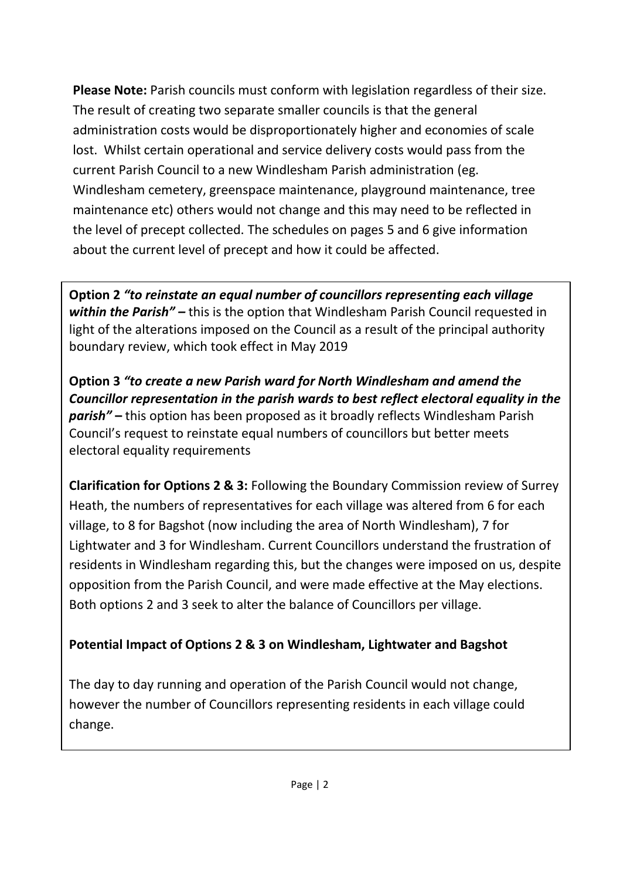**Please Note:** Parish councils must conform with legislation regardless of their size. The result of creating two separate smaller councils is that the general administration costs would be disproportionately higher and economies of scale lost. Whilst certain operational and service delivery costs would pass from the current Parish Council to a new Windlesham Parish administration (eg. Windlesham cemetery, greenspace maintenance, playground maintenance, tree maintenance etc) others would not change and this may need to be reflected in the level of precept collected. The schedules on pages 5 and 6 give information about the current level of precept and how it could be affected.

**Option 2** *"to reinstate an equal number of councillors representing each village within the Parish" –* this is the option that Windlesham Parish Council requested in light of the alterations imposed on the Council as a result of the principal authority boundary review, which took effect in May 2019

**Option 3** *"to create a new Parish ward for North Windlesham and amend the Councillor representation in the parish wards to best reflect electoral equality in the parish"* **–** this option has been proposed as it broadly reflects Windlesham Parish Council's request to reinstate equal numbers of councillors but better meets electoral equality requirements

**Clarification for Options 2 & 3:** Following the Boundary Commission review of Surrey Heath, the numbers of representatives for each village was altered from 6 for each village, to 8 for Bagshot (now including the area of North Windlesham), 7 for Lightwater and 3 for Windlesham. Current Councillors understand the frustration of residents in Windlesham regarding this, but the changes were imposed on us, despite opposition from the Parish Council, and were made effective at the May elections. Both options 2 and 3 seek to alter the balance of Councillors per village.

### **Potential Impact of Options 2 & 3 on Windlesham, Lightwater and Bagshot**

The day to day running and operation of the Parish Council would not change, however the number of Councillors representing residents in each village could change.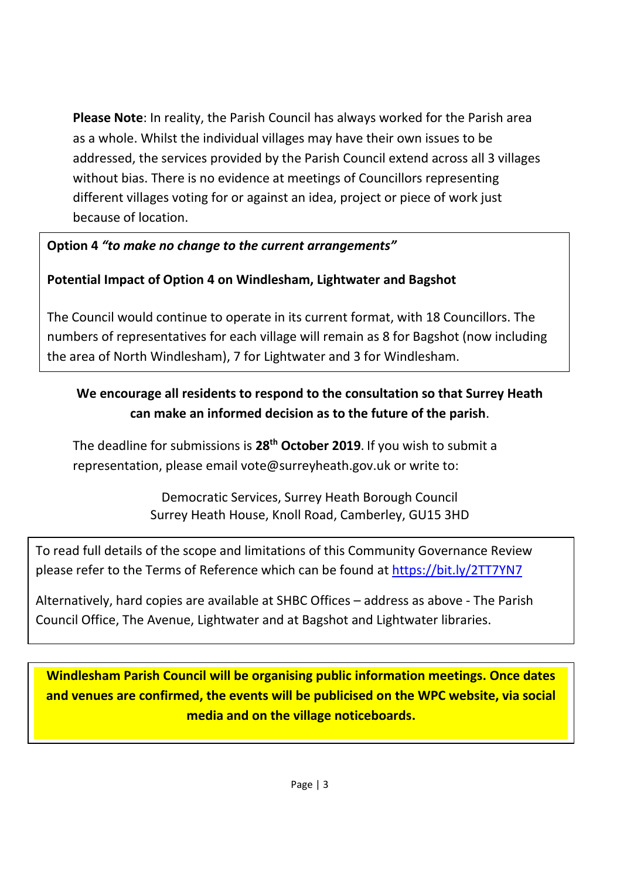**Please Note**: In reality, the Parish Council has always worked for the Parish area as a whole. Whilst the individual villages may have their own issues to be addressed, the services provided by the Parish Council extend across all 3 villages without bias. There is no evidence at meetings of Councillors representing different villages voting for or against an idea, project or piece of work just because of location.

#### **Option 4** *"to make no change to the current arrangements"*

#### **Potential Impact of Option 4 on Windlesham, Lightwater and Bagshot**

The Council would continue to operate in its current format, with 18 Councillors. The numbers of representatives for each village will remain as 8 for Bagshot (now including the area of North Windlesham), 7 for Lightwater and 3 for Windlesham.

### **We encourage all residents to respond to the consultation so that Surrey Heath can make an informed decision as to the future of the parish**.

The deadline for submissions is **28th October 2019**. If you wish to submit a representation, please email vote@surreyheath.gov.uk or write to:

> Democratic Services, Surrey Heath Borough Council Surrey Heath House, Knoll Road, Camberley, GU15 3HD

To read full details of the scope and limitations of this Community Governance Review please refer to the Terms of Reference which can be found at<https://bit.ly/2TT7YN7>

Alternatively, hard copies are available at SHBC Offices – address as above - The Parish Council Office, The Avenue, Lightwater and at Bagshot and Lightwater libraries.

**Windlesham Parish Council will be organising public information meetings. Once dates and venues are confirmed, the events will be publicised on the WPC website, via social media and on the village noticeboards.**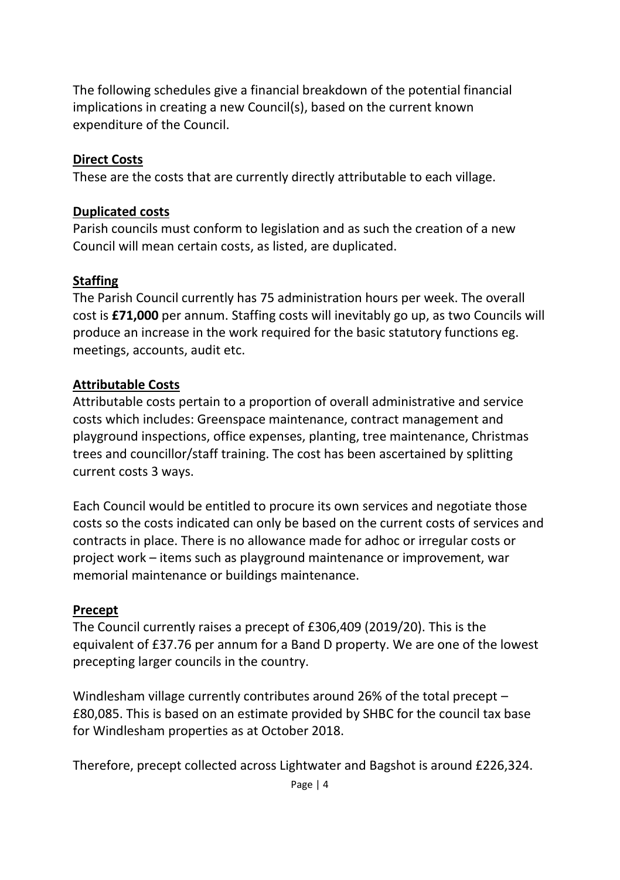The following schedules give a financial breakdown of the potential financial implications in creating a new Council(s), based on the current known expenditure of the Council.

#### **Direct Costs**

These are the costs that are currently directly attributable to each village.

#### **Duplicated costs**

Parish councils must conform to legislation and as such the creation of a new Council will mean certain costs, as listed, are duplicated.

#### **Staffing**

The Parish Council currently has 75 administration hours per week. The overall cost is **£71,000** per annum. Staffing costs will inevitably go up, as two Councils will produce an increase in the work required for the basic statutory functions eg. meetings, accounts, audit etc.

#### **Attributable Costs**

Attributable costs pertain to a proportion of overall administrative and service costs which includes: Greenspace maintenance, contract management and playground inspections, office expenses, planting, tree maintenance, Christmas trees and councillor/staff training. The cost has been ascertained by splitting current costs 3 ways.

Each Council would be entitled to procure its own services and negotiate those costs so the costs indicated can only be based on the current costs of services and contracts in place. There is no allowance made for adhoc or irregular costs or project work – items such as playground maintenance or improvement, war memorial maintenance or buildings maintenance.

#### **Precept**

The Council currently raises a precept of £306,409 (2019/20). This is the equivalent of £37.76 per annum for a Band D property. We are one of the lowest precepting larger councils in the country.

Windlesham village currently contributes around 26% of the total precept – £80,085. This is based on an estimate provided by SHBC for the council tax base for Windlesham properties as at October 2018.

Therefore, precept collected across Lightwater and Bagshot is around £226,324.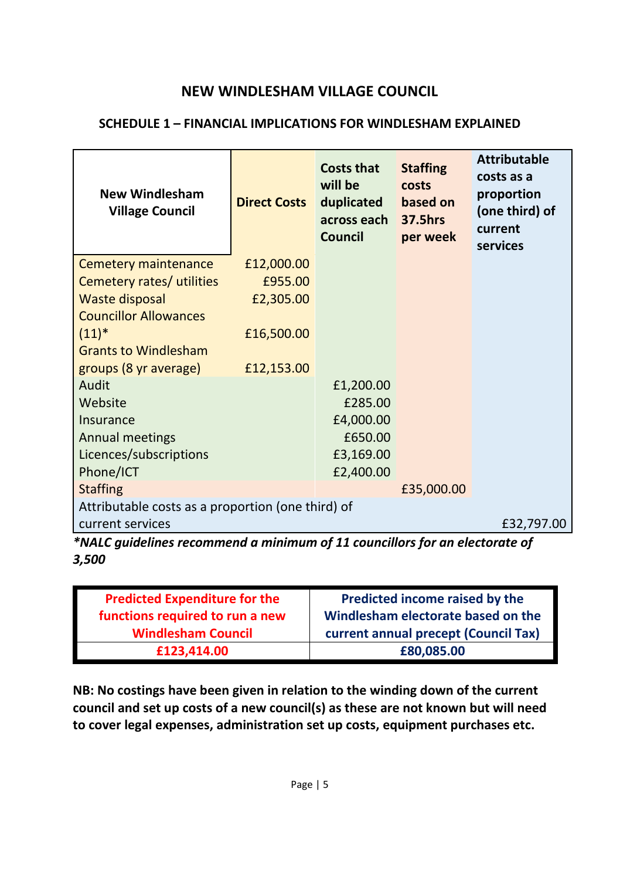#### **NEW WINDLESHAM VILLAGE COUNCIL**

#### **SCHEDULE 1 – FINANCIAL IMPLICATIONS FOR WINDLESHAM EXPLAINED**

| <b>Direct Costs</b>                               | <b>Costs that</b><br>will be<br>duplicated<br>across each<br><b>Council</b> | <b>Staffing</b><br>costs<br>based on<br>37.5hrs<br>per week | <b>Attributable</b><br>costs as a<br>proportion<br>(one third) of<br>current<br>services |  |
|---------------------------------------------------|-----------------------------------------------------------------------------|-------------------------------------------------------------|------------------------------------------------------------------------------------------|--|
| £12,000.00                                        |                                                                             |                                                             |                                                                                          |  |
| £955.00                                           |                                                                             |                                                             |                                                                                          |  |
| £2,305.00                                         |                                                                             |                                                             |                                                                                          |  |
|                                                   |                                                                             |                                                             |                                                                                          |  |
| £16,500.00                                        |                                                                             |                                                             |                                                                                          |  |
|                                                   |                                                                             |                                                             |                                                                                          |  |
| £12,153.00                                        |                                                                             |                                                             |                                                                                          |  |
|                                                   | £1,200.00                                                                   |                                                             |                                                                                          |  |
|                                                   | £285.00                                                                     |                                                             |                                                                                          |  |
|                                                   | £4,000.00                                                                   |                                                             |                                                                                          |  |
|                                                   | £650.00                                                                     |                                                             |                                                                                          |  |
|                                                   | £3,169.00                                                                   |                                                             |                                                                                          |  |
|                                                   | £2,400.00                                                                   |                                                             |                                                                                          |  |
|                                                   |                                                                             | £35,000.00                                                  |                                                                                          |  |
| Attributable costs as a proportion (one third) of |                                                                             |                                                             |                                                                                          |  |
|                                                   |                                                                             |                                                             | £32,797.00                                                                               |  |
|                                                   | all as an further con-                                                      | $\mathbf{f}$ and $\mathbf{f}$                               | المجاورة والمتحارب والمحاور والمحارب والملاو                                             |  |

*\*NALC guidelines recommend a minimum of 11 councillors for an electorate of 3,500*

| <b>Predicted Expenditure for the</b> | Predicted income raised by the       |
|--------------------------------------|--------------------------------------|
| functions required to run a new      | Windlesham electorate based on the   |
| <b>Windlesham Council</b>            | current annual precept (Council Tax) |
| £123,414.00                          | £80,085.00                           |

**NB: No costings have been given in relation to the winding down of the current council and set up costs of a new council(s) as these are not known but will need to cover legal expenses, administration set up costs, equipment purchases etc.**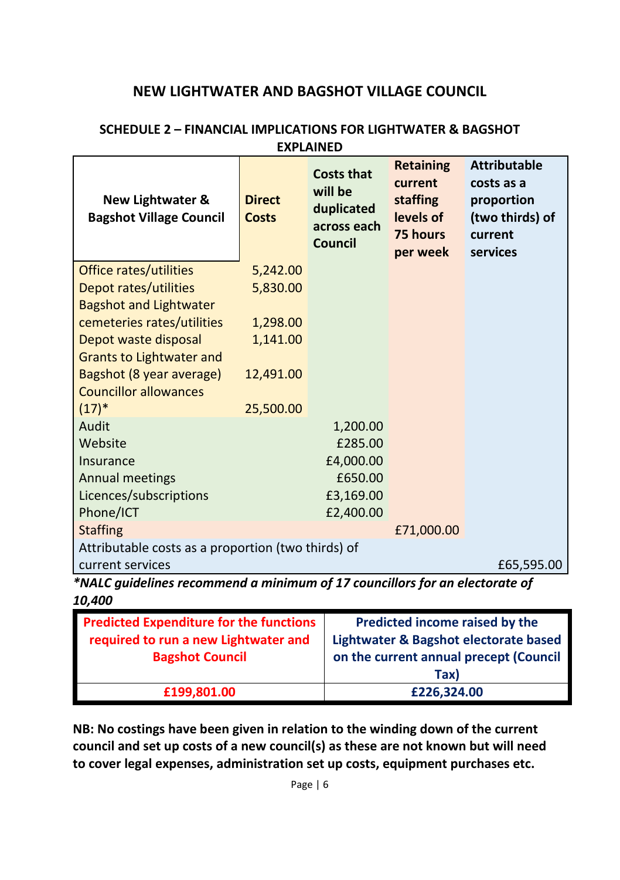#### **NEW LIGHTWATER AND BAGSHOT VILLAGE COUNCIL**

| New Lightwater &<br><b>Bagshot Village Council</b>                          | <b>Direct</b><br><b>Costs</b> | <b>Costs that</b><br>will be<br>duplicated<br>across each<br>Council | <b>Retaining</b><br>current<br>staffing<br>levels of<br>75 hours<br>per week | <b>Attributable</b><br>costs as a<br>proportion<br>(two thirds) of<br>current<br>services |
|-----------------------------------------------------------------------------|-------------------------------|----------------------------------------------------------------------|------------------------------------------------------------------------------|-------------------------------------------------------------------------------------------|
| Office rates/utilities                                                      | 5,242.00                      |                                                                      |                                                                              |                                                                                           |
| Depot rates/utilities                                                       | 5,830.00                      |                                                                      |                                                                              |                                                                                           |
| <b>Bagshot and Lightwater</b>                                               |                               |                                                                      |                                                                              |                                                                                           |
| cemeteries rates/utilities                                                  | 1,298.00                      |                                                                      |                                                                              |                                                                                           |
| Depot waste disposal                                                        | 1,141.00                      |                                                                      |                                                                              |                                                                                           |
| Grants to Lightwater and                                                    |                               |                                                                      |                                                                              |                                                                                           |
| Bagshot (8 year average)                                                    | 12,491.00                     |                                                                      |                                                                              |                                                                                           |
| <b>Councillor allowances</b>                                                |                               |                                                                      |                                                                              |                                                                                           |
| $(17)^{*}$                                                                  | 25,500.00                     |                                                                      |                                                                              |                                                                                           |
| Audit                                                                       |                               | 1,200.00                                                             |                                                                              |                                                                                           |
| Website                                                                     |                               | £285.00                                                              |                                                                              |                                                                                           |
| Insurance                                                                   |                               | £4,000.00                                                            |                                                                              |                                                                                           |
| Annual meetings                                                             |                               | £650.00                                                              |                                                                              |                                                                                           |
| Licences/subscriptions                                                      |                               | £3,169.00                                                            |                                                                              |                                                                                           |
| Phone/ICT                                                                   |                               | £2,400.00                                                            |                                                                              |                                                                                           |
| <b>Staffing</b>                                                             |                               |                                                                      | £71,000.00                                                                   |                                                                                           |
| Attributable costs as a proportion (two thirds) of                          |                               |                                                                      |                                                                              |                                                                                           |
| current services                                                            |                               |                                                                      |                                                                              | £65,595.00                                                                                |
| *NALC guidelines recommend a minimum of 17 councillors for an electorate of |                               |                                                                      |                                                                              |                                                                                           |

#### **SCHEDULE 2 – FINANCIAL IMPLICATIONS FOR LIGHTWATER & BAGSHOT EXPLAINED**

*10,400*

| <b>Predicted Expenditure for the functions</b> | Predicted income raised by the         |
|------------------------------------------------|----------------------------------------|
| required to run a new Lightwater and           | Lightwater & Bagshot electorate based  |
| <b>Bagshot Council</b>                         | on the current annual precept (Council |
|                                                | Tax)                                   |
| £199.801.00                                    | £226.324.00                            |

**NB: No costings have been given in relation to the winding down of the current council and set up costs of a new council(s) as these are not known but will need to cover legal expenses, administration set up costs, equipment purchases etc.**